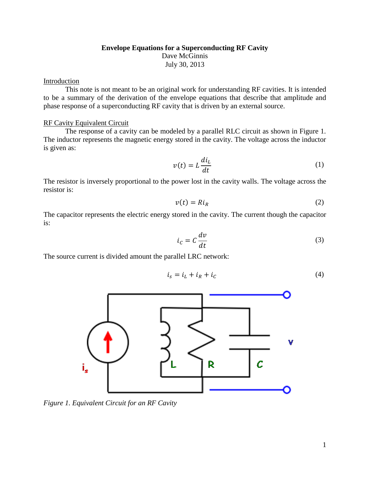## **Envelope Equations for a Superconducting RF Cavity** Dave McGinnis July 30, 2013

## Introduction

This note is not meant to be an original work for understanding RF cavities. It is intended to be a summary of the derivation of the envelope equations that describe that amplitude and phase response of a superconducting RF cavity that is driven by an external source.

## RF Cavity Equivalent Circuit

The response of a cavity can be modeled by a parallel RLC circuit as shown in Figure 1. The inductor represents the magnetic energy stored in the cavity. The voltage across the inductor is given as:

$$
v(t) = L \frac{di_L}{dt} \tag{1}
$$

The resistor is inversely proportional to the power lost in the cavity walls. The voltage across the resistor is:

$$
v(t) = RiR
$$
 (2)

The capacitor represents the electric energy stored in the cavity. The current though the capacitor is:

$$
i_c = C \frac{dv}{dt} \tag{3}
$$

The source current is divided amount the parallel LRC network:

$$
i_s = i_L + i_R + i_C \tag{4}
$$



*Figure 1. Equivalent Circuit for an RF Cavity*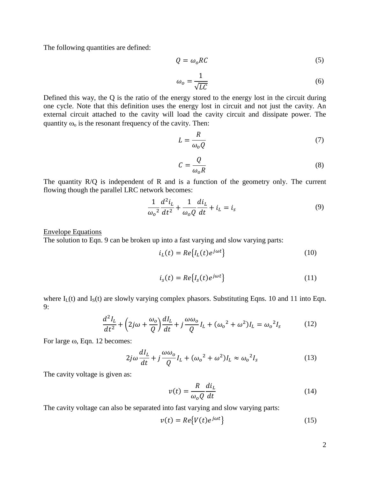The following quantities are defined:

$$
Q = \omega_o RC \tag{5}
$$

$$
\omega_o = \frac{1}{\sqrt{LC}}\tag{6}
$$

Defined this way, the Q is the ratio of the energy stored to the energy lost in the circuit during one cycle. Note that this definition uses the energy lost in circuit and not just the cavity. An external circuit attached to the cavity will load the cavity circuit and dissipate power. The quantity  $\omega_0$  is the resonant frequency of the cavity. Then:

$$
L = \frac{R}{\omega_o Q} \tag{7}
$$

$$
C = \frac{Q}{\omega_o R} \tag{8}
$$

The quantity  $R/Q$  is independent of R and is a function of the geometry only. The current flowing though the parallel LRC network becomes:

$$
\frac{1}{\omega_o^2} \frac{d^2 i_L}{dt^2} + \frac{1}{\omega_o Q} \frac{di_L}{dt} + i_L = i_s
$$
 (9)

## Envelope Equations

The solution to Eqn. 9 can be broken up into a fast varying and slow varying parts:

$$
i_L(t) = Re\{I_L(t)e^{j\omega t}\}\tag{10}
$$

$$
i_s(t) = Re\{I_s(t)e^{j\omega t}\}\tag{11}
$$

where  $I_L(t)$  and  $I_S(t)$  are slowly varying complex phasors. Substituting Eqns. 10 and 11 into Eqn. 9:

$$
\frac{d^2I_L}{dt^2} + \left(2j\omega + \frac{\omega_0}{Q}\right)\frac{dI_L}{dt} + j\frac{\omega\omega_0}{Q}I_L + (\omega_0^2 + \omega^2)I_L = \omega_0^2I_S
$$
 (12)

For large  $\omega$ , Eqn. 12 becomes:

$$
2j\omega\frac{dl_L}{dt} + j\frac{\omega\omega_o}{Q}I_L + (\omega_o^2 + \omega^2)I_L \approx \omega_o^2 I_S
$$
 (13)

The cavity voltage is given as:

$$
v(t) = \frac{R}{\omega_o Q} \frac{di_L}{dt}
$$
 (14)

The cavity voltage can also be separated into fast varying and slow varying parts:

$$
v(t) = Re\{V(t)e^{j\omega t}\}\tag{15}
$$